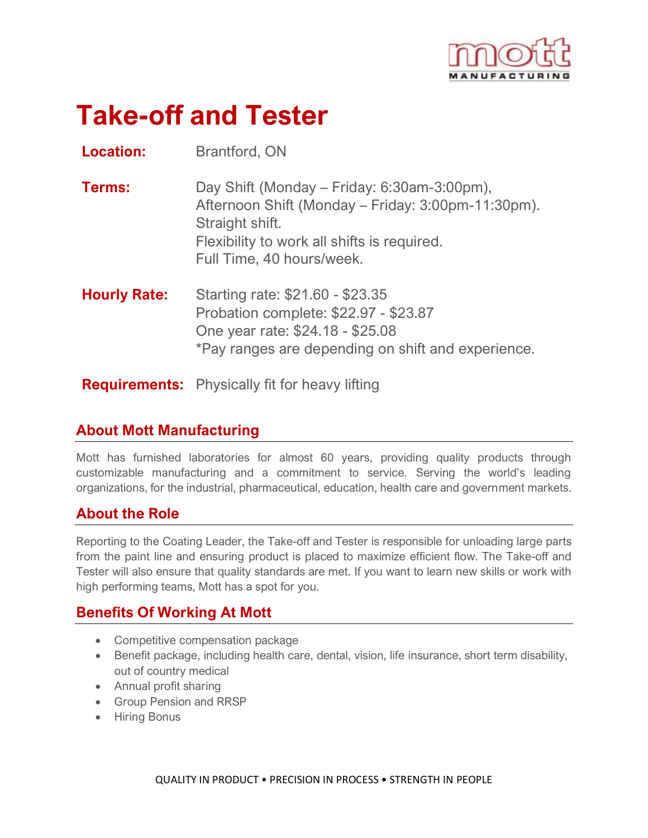

# **Take-off and Tester**

**Location:** Brantford, ON

| Day Shift (Monday – Friday: 6:30am-3:00pm),        |
|----------------------------------------------------|
| Afternoon Shift (Monday – Friday: 3:00pm-11:30pm). |
| Straight shift.                                    |
| Flexibility to work all shifts is required.        |
| Full Time, 40 hours/week.                          |
|                                                    |

**Hourly Rate:** Starting rate: \$21.60 - \$23.35 Probation complete: \$22.97 - \$23.87 One year rate: \$24.18 - \$25.08 \*Pay ranges are depending on shift and experience.

**Requirements:** Physically fit for heavy lifting

## **About Mott Manufacturing**

Mott has furnished laboratories for almost 60 years, providing quality products through customizable manufacturing and a commitment to service. Serving the world's leading organizations, for the industrial, pharmaceutical, education, health care and government markets.

## **About the Role**

Reporting to the Coating Leader, the Take-off and Tester is responsible for unloading large parts from the paint line and ensuring product is placed to maximize efficient flow. The Take-off and Tester will also ensure that quality standards are met. If you want to learn new skills or work with high performing teams, Mott has a spot for you.

## **Benefits Of Working At Mott**

- Competitive compensation package
- Benefit package, including health care, dental, vision, life insurance, short term disability, out of country medical
- Annual profit sharing
- Group Pension and RRSP
- Hiring Bonus